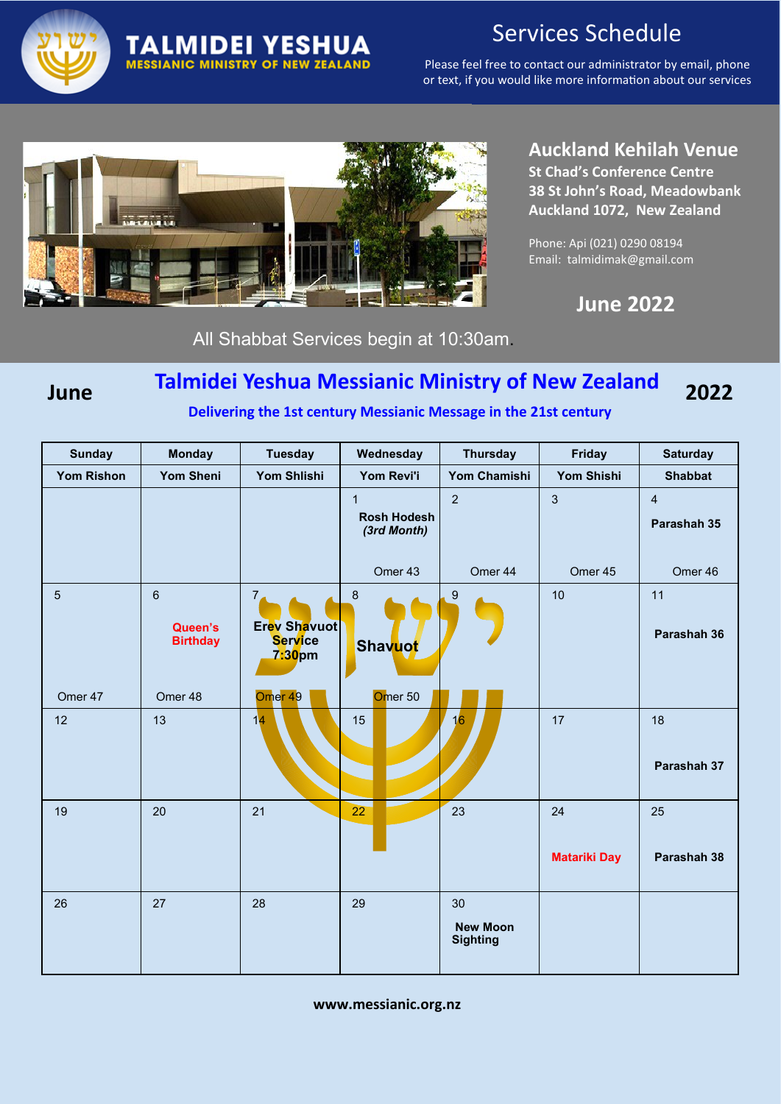

# Services Schedule

Please feel free to contact our administrator by email, phone or text, if you would like more information about our services



**TALMIDEI YESHUA MESSIANIC MINISTRY OF NEW ZEALAND** 

## **Auckland Kehilah Venue**

**St Chad's Conference Centre 38 St John's Road, Meadowbank Auckland 1072, New Zealand**

Phone: Api (021) 0290 08194 Email: talmidimak@gmail.com

 **June 2022**

All Shabbat Services begin at 10:30am.

#### **Talmidei Yeshua Messianic Ministry of New Zealand June 2022**

 **Delivering the 1st century Messianic Message in the 21st century**

| <b>Sunday</b>     | <b>Monday</b>                                | <b>Tuesday</b>                                             | Wednesday                                         | <b>Thursday</b>                          | <b>Friday</b>             | <b>Saturday</b>               |
|-------------------|----------------------------------------------|------------------------------------------------------------|---------------------------------------------------|------------------------------------------|---------------------------|-------------------------------|
| <b>Yom Rishon</b> | <b>Yom Sheni</b>                             | <b>Yom Shlishi</b>                                         | Yom Revi'i                                        | Yom Chamishi                             | <b>Yom Shishi</b>         | <b>Shabbat</b>                |
|                   |                                              |                                                            | $\mathbf{1}$<br><b>Rosh Hodesh</b><br>(3rd Month) | $\overline{2}$                           | $\mathbf{3}$              | $\overline{4}$<br>Parashah 35 |
|                   |                                              |                                                            | Omer 43                                           | Omer 44                                  | Omer 45                   | Omer 46                       |
| $\overline{5}$    | $6\phantom{1}$<br>Queen's<br><b>Birthday</b> | 7 <sub>4</sub><br>Erev Shavuot<br><b>Service</b><br>7:30pm | $\boldsymbol{8}$<br>Shavuot                       | 9                                        | 10                        | 11<br>Parashah 36             |
| Omer 47           | Omer 48                                      | Omer <sub>49</sub>                                         | Omer <sub>50</sub>                                |                                          |                           |                               |
| 12                | 13                                           | 14                                                         | 15                                                | 16                                       | 17                        | 18<br>Parashah 37             |
| 19                | 20                                           | 21                                                         | $\overline{22}$                                   | 23                                       | 24<br><b>Matariki Day</b> | 25<br>Parashah 38             |
| 26                | 27                                           | 28                                                         | 29                                                | 30<br><b>New Moon</b><br><b>Sighting</b> |                           |                               |

**www.messianic.org.nz**